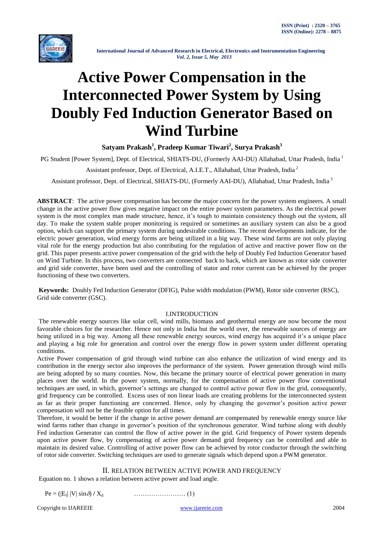

# **Active Power Compensation in the Interconnected Power System by Using Doubly Fed Induction Generator Based on Wind Turbine**

**Satyam Prakash<sup>1</sup> , Pradeep Kumar Tiwari<sup>2</sup> , Surya Prakash<sup>3</sup>**

PG Student [Power System], Dept. of Electrical, SHIATS-DU, (Formerly AAI-DU) Allahabad, Uttar Pradesh, India<sup>1</sup>

Assistant professor, Dept. of Electrical, A.I.E.T., Allahabad, Uttar Pradesh, India <sup>2</sup>

Assistant professor, Dept. of Electrical, SHIATS-DU, (Formerly AAI-DU), Allahabad, Uttar Pradesh, India <sup>3</sup>

**ABSTRACT**: The active power compensation has become the major concern for the power system engineers. A small change in the active power flow gives negative impact on the entire power system parameters. As the electrical power system is the most complex man made structure, hence, it's tough to maintain consistency though out the system, all day. To make the system stable proper monitoring is required or sometimes an auxiliary system can also be a good option, which can support the primary system during undesirable conditions. The recent developments indicate, for the electric power generation, wind energy forms are being utilized in a big way. These wind farms are not only playing vital role for the energy production but also contributing for the regulation of active and reactive power flow on the grid. This paper presents active power compensation of the grid with the help of Doubly Fed Induction Generator based on Wind Turbine. In this process, two converters are connected back to back, which are known as rotor side converter and grid side converter, have been used and the controlling of stator and rotor current can be achieved by the proper functioning of these two converters.

**Keywords:** Doubly Fed Induction Generator (DFIG), Pulse width modulation (PWM), Rotor side converter (RSC), Grid side converter (GSC).

# I.INTRODUCTION

The renewable energy sources like solar cell, wind mills, biomass and geothermal energy are now become the most favorable choices for the researcher. Hence not only in India but the world over, the renewable sources of energy are being utilized in a big way. Among all these renewable energy sources, wind energy has acquired it's a unique place and playing a big role for generation and control over the energy flow in power system under different operating conditions.

Active Power compensation of grid through wind turbine can also enhance the utilization of wind energy and its contribution in the energy sector also improves the performance of the system. Power generation through wind mills are being adopted by so many counties. Now, this became the primary source of electrical power generation in many places over the world. In the power system, normally, for the compensation of active power flow conventional techniques are used, in which, governor's settings are changed to control active power flow in the grid, consequently, grid frequency can be controlled. Excess uses of non linear loads are creating problems for the interconnected system as far as their proper functioning are concerned. Hence, only by changing the governor's position active power compensation will not be the feasible option for all times.

Therefore, it would be better if the change in active power demand are compensated by renewable energy source like wind farms rather than change in governor's position of the synchronous generator. Wind turbine along with doubly Fed induction Generator can control the flow of active power in the grid. Grid frequency of Power system depends upon active power flow, by compensating of active power demand grid frequency can be controlled and able to maintain its desired value. Controlling of active power flow can be achieved by rotor conductor through the switching of rotor side converter. Switching techniques are used to generate signals which depend upon a PWM generator.

# II. RELATION BETWEEN ACTIVE POWER AND FREQUENCY

Equation no. 1 shows a relation between active power and load angle.

 $Pe = (|E_f| |V| \sin \delta) / X_d$ | |V| sin) **/** Xd …………………… (1)

Copyright to IJAREEIE [www.ijareeie.com](http://www.ijareeie.com/) 2004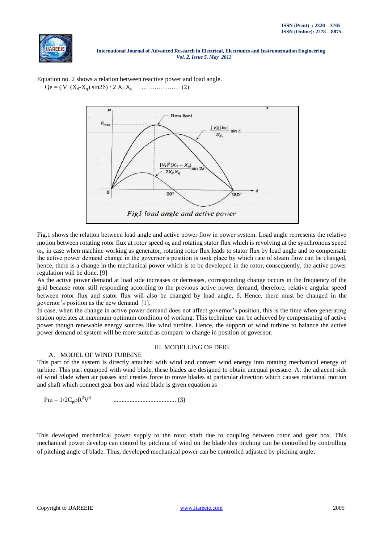



Equation no. 2 shows a relation between reactive power and load angle. Qe = (|V| (Xd-Xq) sin2) / 2 X<sup>d</sup> Xq ……………… (2)

Fig.1 shows the relation between load angle and active power flow in power system. Load angle represents the relative motion between rotating rotor flux at rotor speed  $\omega_r$  and rotating stator flux which is revolving at the synchronous speed  $\omega_s$ , in case when machine working as generator, rotating rotor flux leads to stator flux by load angle and to compensate the active power demand change in the governor's position is took place by which rate of steam flow can be changed, hence, there is a change in the mechanical power which is to be developed in the rotor, consequently, the active power regulation will be done. [9]

As the active power demand at load side increases or decreases, corresponding change occurs in the frequency of the grid because rotor still responding according to the previous active power demand, therefore, relative angular speed between rotor flux and stator flux will also be changed by load angle,  $\delta$ . Hence, there must be changed in the governor's position as the new demand. [1].

In case, when the change in active power demand does not affect governor's position, this is the time when generating station operates at maximum optimum condition of working. This technique can be achieved by compensating of active power though renewable energy sources like wind turbine. Hence, the support of wind turbine to balance the active power demand of system will be more suited as compare to change in position of governor.

# A. MODEL OF WIND TURBINE

# III. MODELLING OF DFIG

This part of the system is directly attached with wind and convert wind energy into rotating mechanical energy of turbine. This part equipped with wind blade, these blades are designed to obtain unequal pressure. At the adjacent side of wind blade when air passes and creates force to move blades at particular direction which causes rotational motion and shaft which connect gear box and wind blade is given equation as

Pm = 1/2CpR 2V 3 ....................................... (3)

This developed mechanical power supply to the rotor shaft due to coupling between rotor and gear box. This mechanical power develop can control by pitching of wind on the blade this pitching can be controlled by controlling of pitching angle of blade. Thus, developed mechanical power can be controlled adjusted by pitching angle.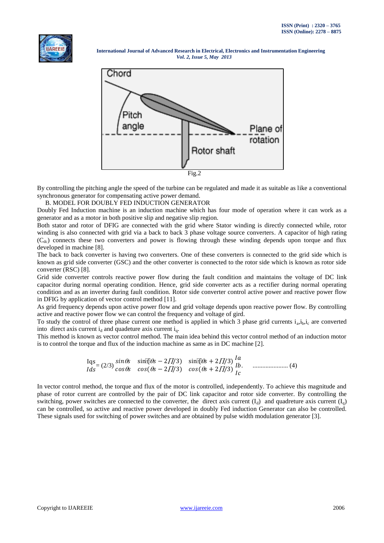



By controlling the pitching angle the speed of the turbine can be regulated and made it as suitable as like a conventional synchronous generator for compensating active power demand.

B. MODEL FOR DOUBLY FED INDUCTION GENERATOR

Doubly Fed Induction machine is an induction machine which has four mode of operation where it can work as a generator and as a motor in both positive slip and negative slip region.

Both stator and rotor of DFIG are connected with the grid where Stator winding is directly connected while, rotor winding is also connected with grid via a back to back 3 phase voltage source converters. A capacitor of high rating  $(C_{dc})$  connects these two converters and power is flowing through these winding depends upon torque and flux developed in machine [8].

The back to back converter is having two converters. One of these converters is connected to the grid side which is known as grid side converter (GSC) and the other converter is connected to the rotor side which is known as rotor side converter (RSC) [8].

Grid side converter controls reactive power flow during the fault condition and maintains the voltage of DC link capacitor during normal operating condition. Hence, grid side converter acts as a rectifier during normal operating condition and as an inverter during fault condition. Rotor side converter control active power and reactive power flow in DFIG by application of vector control method [11].

As grid frequency depends upon active power flow and grid voltage depends upon reactive power flow. By controlling active and reactive power flow we can control the frequency and voltage of gird.

To study the control of three phase current one method is applied in which 3 phase grid currents  $i_a$ , $i_b$ , $i_c$  are converted into direct axis current  $i_d$  and quadeture axis current  $i_d$ .

This method is known as vector control method. The main idea behind this vector control method of an induction motor is to control the torque and flux of the induction machine as same as in DC machine [2].

$$
\text{Iqs}_{1ds} = (2/3) \frac{\sin 6s}{\cos 6s} \frac{\sin 6s - 2\pi}{3} \frac{\sin 6s + 2\pi}{3} \frac{1a}{1b} \text{ .......}
$$
\n(4)

In vector control method, the torque and flux of the motor is controlled, independently. To achieve this magnitude and phase of rotor current are controlled by the pair of DC link capacitor and rotor side converter. By controlling the switching, power switches are connected to the converter, the direct axis current  $(I_d)$  and quadreture axis current  $(I_q)$ can be controlled, so active and reactive power developed in doubly Fed induction Generator can also be controlled. These signals used for switching of power switches and are obtained by pulse width modulation generator [3].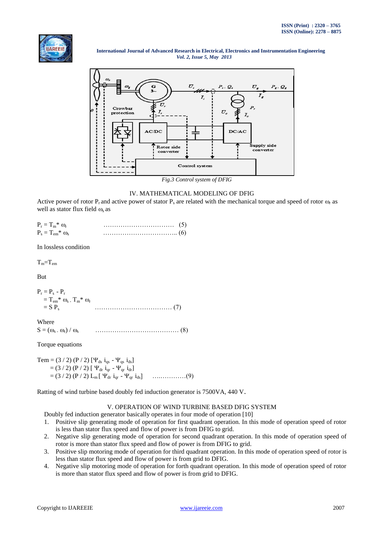



# IV. MATHEMATICAL MODELING OF DFIG

Active power of rotor P<sub>r</sub> and active power of stator P<sub>s</sub> are related with the mechanical torque and speed of rotor  $\omega$ <sub>r</sub> as well as stator flux field  $\omega$ , as

| $P_r = T_m^* \omega_r$    | $\ldots$ (5) |  |
|---------------------------|--------------|--|
| $P_s = T_{em}^* \omega_s$ |              |  |

In lossless condition

 $T_m = T_{em}$ 

But

 $P_r = P_s - P_r$  $T_{em}^* \omega_s$  -  $T_m^* \omega_r$  $=$  S  $P_s$ ……………………………… (7)

Where S = (s - r) / s ………………………………… (8)

Torque equations

Tem = (3 / 2) (P / 2) [ $\Psi_{ds}$  i<sub>qs</sub> -  $\Psi_{qs}$  i<sub>ds</sub>]  $=$  (3/2) (P/2) [  $\Psi_{dr}$  i<sub>qr</sub> -  $\Psi_{qr}$  i<sub>dr</sub>] = (3 / 2) (P / 2) Lm [ dr iqr - qr ids] ….…………(9)

Ratting of wind turbine based doubly fed induction generator is 7500VA, 440 V.

# V. OPERATION OF WIND TURBINE BASED DFIG SYSTEM

Doubly fed induction generator basically operates in four mode of operation [10]

- 1. Positive slip generating mode of operation for first quadrant operation. In this mode of operation speed of rotor is less than stator flux speed and flow of power is from DFIG to grid.
- 2. Negative slip generating mode of operation for second quadrant operation. In this mode of operation speed of rotor is more than stator flux speed and flow of power is from DFIG to grid.
- 3. Positive slip motoring mode of operation for third quadrant operation. In this mode of operation speed of rotor is less than stator flux speed and flow of power is from grid to DFIG.
- 4. Negative slip motoring mode of operation for forth quadrant operation. In this mode of operation speed of rotor is more than stator flux speed and flow of power is from grid to DFIG.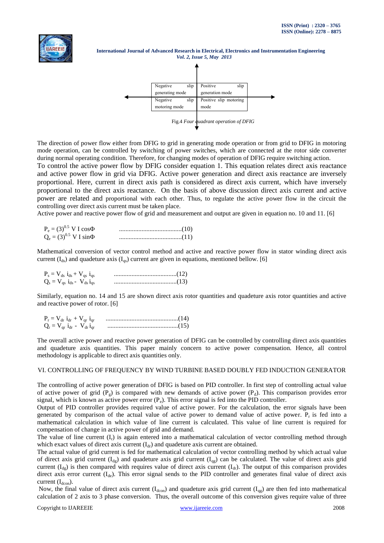



The direction of power flow either from DFIG to grid in generating mode operation or from grid to DFIG in motoring mode operation, can be controlled by switching of power switches, which are connected at the rotor side converter during normal operating condition. Therefore, for changing modes of operation of DFIG require switching action.

To control the active power flow by DFIG consider equation 1. This equation relates direct axis reactance and active power flow in grid via DFIG. Active power generation and direct axis reactance are inversely proportional. Here, current in direct axis path is considered as direct axis current, which have inversely proportional to the direct axis reactance. On the basis of above discussion direct axis current and active power are related and proportional with each other. Thus, to regulate the active power flow in the circuit the controlling over direct axis current must be taken place.

Active power and reactive power flow of grid and measurement and output are given in equation no. 10 and 11. [6]

| $P_e = (3)^{0.5}$ V I cos $\Phi$ |  |
|----------------------------------|--|
| $Q_e = (3)^{0.5}$ V I sin $\Phi$ |  |

Mathematical conversion of vector control method and active and reactive power flow in stator winding direct axis current ( $I_{ds}$ ) and quadeture axis ( $I_{gs}$ ) current are given in equations, mentioned bellow. [6]

| $P_s = V_{ds} i_{ds} + V_{qs} i_{qs}$ |  |
|---------------------------------------|--|
| $Q_s = V_{qs} i_{ds} - V_{ds} i_{qs}$ |  |

Similarly, equation no. 14 and 15 are shown direct axis rotor quantities and quadeture axis rotor quantities and active and reactive power of rotor. [6]

| $P_r = V_{dr} i_{dr} + V_{qr} i_{qr}$ |               |
|---------------------------------------|---------------|
| $Q_r = V_{qr} i_{dr} - V_{dr} i_{qr}$ | $\ldots$ (15) |

The overall active power and reactive power generation of DFIG can be controlled by controlling direct axis quantities and quadeture axis quantities. This paper mainly concern to active power compensation. Hence, all control methodology is applicable to direct axis quantities only.

#### VI. CONTROLLING OF FREQUENCY BY WIND TURBINE BASED DOUBLY FED INDUCTION GENERATOR

The controlling of active power generation of DFIG is based on PID controller. In first step of controlling actual value of active power of grid  $(P<sub>g</sub>)$  is compared with new demands of active power  $(P<sub>d</sub>)$ . This comparison provides error signal, which is known as active power error  $(P_e)$ . This error signal is fed into the PID controller.

Output of PID controller provides required value of active power. For the calculation, the error signals have been generated by comparison of the actual value of active power to demand value of active power.  $P_r$  is fed into a mathematical calculation in which value of line current is calculated. This value of line current is required for compensation of change in active power of grid and demand.

The value of line current  $(I_r)$  is again entered into a mathematical calculation of vector controlling method through which exact values of direct axis current  $(I_{dr})$  and quadeture axis current are obtained.

The actual value of grid current is fed for mathematical calculation of vector controlling method by which actual value of direct axis grid current  $(I_{dg})$  and quadeture axis grid current  $(I_{gg})$  can be calculated. The value of direct axis grid current  $(I_{\text{de}})$  is then compared with requires value of direct axis current  $(I_{\text{dr}})$ . The output of this comparison provides direct axis error current  $(I_{de})$ . This error signal sends to the PID controller and generates final value of direct axis current  $(I_{\text{dcon}})$ .

Now, the final value of direct axis current ( $I_{\text{dcon}}$ ) and quadeture axis grid current ( $I_{\text{qg}}$ ) are then fed into mathematical calculation of 2 axis to 3 phase conversion. Thus, the overall outcome of this conversion gives require value of three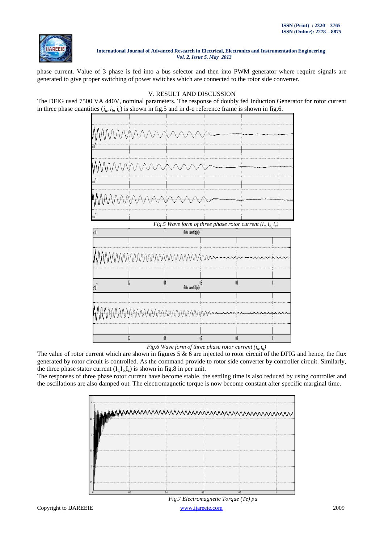

phase current. Value of 3 phase is fed into a bus selector and then into PWM generator where require signals are generated to give proper switching of power switches which are connected to the rotor side converter.

V. RESULT AND DISCUSSION The DFIG used 7500 VA 440V, nominal parameters. The response of doubly fed Induction Generator for rotor current

# in three phase quantities  $(i_a, i_b, i_c)$  is shown in fig.5 and in d-q reference frame is shown in fig.6. *Fig.5 Wave form of three phase rotor current*  $(i_a, i_b, i_c)$ (Rotor current in loub)  $\overline{\mathbf{0}}$  $02$  $\mathbf{u}$  $06$ (Rotor current id (pu)  $02\,$  $\mathbb{U}$  $06$  $08$  $\mathbf{1}$

*Fig.6 Wave form of three phase rotor current*  $(i_a, i_q)$ 

The value of rotor current which are shown in figures 5  $\&$  6 are injected to rotor circuit of the DFIG and hence, the flux generated by rotor circuit is controlled. As the command provide to rotor side converter by controller circuit. Similarly, the three phase stator current  $(I_a I_b I_c)$  is shown in fig.8 in per unit.

The responses of three phase rotor current have become stable, the settling time is also reduced by using controller and the oscillations are also damped out. The electromagnetic torque is now become constant after specific marginal time.